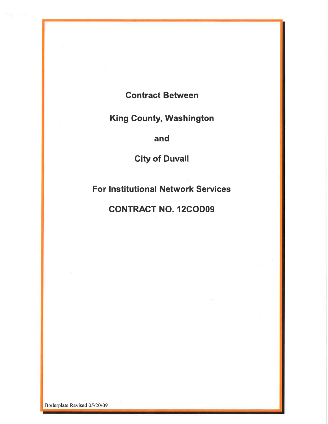## Contract Between

# King Gounty, Washington

and

City of Duvall

For Institutional Network Services

### CONTRACT NO. 12GODO9

Boilerplate Revised 05/20/09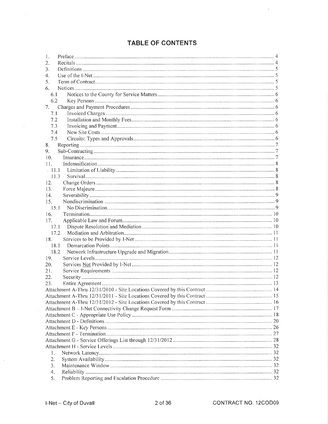### TABLE OF CONTENTS

| 1.       |  |  |  |  |
|----------|--|--|--|--|
| 2.       |  |  |  |  |
| 3.       |  |  |  |  |
| 4.       |  |  |  |  |
| 5.       |  |  |  |  |
| 6.       |  |  |  |  |
| 6.1      |  |  |  |  |
| 6.2      |  |  |  |  |
| 7.       |  |  |  |  |
| 7.1      |  |  |  |  |
| 7.2      |  |  |  |  |
| 7.3      |  |  |  |  |
| 7.4      |  |  |  |  |
| 7.5      |  |  |  |  |
| 8.       |  |  |  |  |
| 9.       |  |  |  |  |
| 10.      |  |  |  |  |
| 11.      |  |  |  |  |
| $= 11.1$ |  |  |  |  |
| 11.3     |  |  |  |  |
| 12.      |  |  |  |  |
| 13.      |  |  |  |  |
| 14.      |  |  |  |  |
| 15.      |  |  |  |  |
| 15.1     |  |  |  |  |
| 16.      |  |  |  |  |
| 17.      |  |  |  |  |
| 17.1     |  |  |  |  |
| 17.2     |  |  |  |  |
| 18.      |  |  |  |  |
| 18.1     |  |  |  |  |
| 18.2     |  |  |  |  |
| 19.      |  |  |  |  |
| 20.      |  |  |  |  |
| 21.      |  |  |  |  |
| 22.      |  |  |  |  |
| 23.      |  |  |  |  |
|          |  |  |  |  |
|          |  |  |  |  |
|          |  |  |  |  |
|          |  |  |  |  |
|          |  |  |  |  |
|          |  |  |  |  |
|          |  |  |  |  |
|          |  |  |  |  |
|          |  |  |  |  |
|          |  |  |  |  |
| 1.       |  |  |  |  |
| 2.       |  |  |  |  |
| 3.       |  |  |  |  |
| 4.       |  |  |  |  |
| 5.       |  |  |  |  |
|          |  |  |  |  |

 $\alpha$ 

 $\alpha$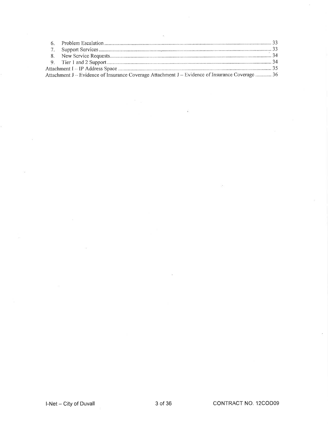|  | Attachment J - Evidence of Insurance Coverage Attachment J - Evidence of Insurance Coverage  36 |  |  |
|--|-------------------------------------------------------------------------------------------------|--|--|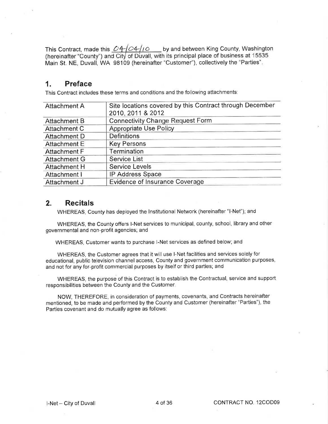This Contract, made this  $O4/C4/10$  by and between King County, Washington (hereinafter "County") and City of Duvall, with its principal place of business at 15535 Main St. NE, Duvall, WA 98109 (hereinafter "Customer"), collectively the "Parties"

#### 1. Preface

This Contract includes these terms and conditions and the following attachments:

| <b>Attachment A</b> | Site locations covered by this Contract through December |
|---------------------|----------------------------------------------------------|
|                     | 2010, 2011 & 2012                                        |
| <b>Attachment B</b> | <b>Connectivity Change Request Form</b>                  |
| Attachment C        | Appropriate Use Policy                                   |
| <b>Attachment D</b> | <b>Definitions</b>                                       |
| <b>Attachment E</b> | <b>Key Persons</b>                                       |
| Attachment F        | Termination                                              |
| <b>Attachment G</b> | Service List                                             |
| <b>Attachment H</b> | <b>Service Levels</b>                                    |
| Attachment I        | <b>IP Address Space</b>                                  |
| Attachment J        | <b>Evidence of Insurance Coverage</b>                    |

#### 2. Recitals

WHEREAS, County has deployed the lnstitutional Network (hereinafter "l-Net"); and

WHEREAS, the County offers l-Net services to municipal, county, school, library and other governmental and non-profit agencies; and

WHEREAS, Customer wants to purchase l-Net services as defined below; and

WHEREAS, the Customer agrees that it will use l-Net facilities and services solely for educational, public television channel access, County and government communication purposes, and not for any for-profit commercial purposes by itself or third parties; and

WHEREAS, the purpose of this Contract is to establish the Gontractual, service and support responsibilities between the County and the Customer.

NOW, THEREFORE, in consideration of payments, covenants, and Contracts hereinafter mentioned, to be made and performed by the County and Customer (hereinafter "Parties"), the Parties covenant and do mutually agree as follows: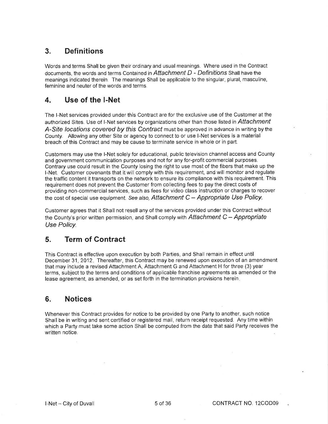### 3. Definitions

Words and terms Shall be given their ordinary and usual meanings. Where used in the Contract documents, the words and terms Contained in  $Attention$   $D$  - Definitions Shall have the meanings indicated therein. The meanings Shall be applicable to the singular, plural, masculine, feminine and neuter of the words and terms.

### 4. Use of the I-Net

The l-Net services provided under this Contract are for the exclusive use of the Customer at the authorized Sites. Use of I-Net services by organizations other than those listed in Attachment A-Site locations covered by this Contract must be approved in advance in writing by the County. Allowing any other Site or agency to connect to or use l-Net services is a material breach of this Contract and may be cause to terminate service in whole or in part.

Customers may use the l-Net solely for educational, public television channel access and County and government communication purposes and not for any for-profit commercial purposes. Contrary use could result in the County losing the right to use most of the fibers that make up the l-Net. Customer covenants that lt will comply with this requirement, and will monitor and regulate the traffic content it transports on the network to ensure its compliance with this requirement. This requirement does not prevent the Customer from collecting fees to pay the direct costs of providing non-commercial services, such as fees for video class instruction or charges to recover the cost of special use equipment. See also, Attachment  $C -$  Appropriate Use Policy.

Customer agrees that it Shall not resell any of the services provided under this Contract without the County's prior written permission, and Shall comply with Attachment  $C - A$ *ppropriate* Use Policy.

### 5. Term of Contract

This Contract is effective upon execution by both Parties, and Shall remain in effect until December 31, 2012. Thereafter, this Contract may be renewed upon execution of an amendment that may include a revised Attachment A, Attachment G and Attachment H for three (3) year terms, subject to the terms and conditions of applicable franchise agreements as amended or the lease agreement, as amended, or as set forth in the termination provisions herein

### 6. Notices

Whenever this Contract provides for notice to be provided by one Party to another, such notice Shall be in writing and sent certified or registered mail, return receipt requested. Any time within which a Party must take some action Shall be computed from the date that said Party receives the written notice.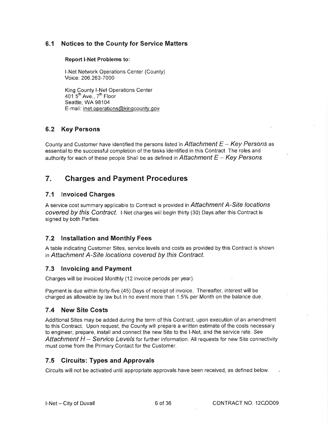#### 6.1 Notices to the County for Service Matters

#### Report l-Net Problems to:

l-Net Network Operations Center (County) Voice: 206.263-7000

King County I-Net Operations Center 401 $5<sup>th</sup>$  Ave.,  $7<sup>th</sup>$  Floor Seattle, WA 98104 E-mail: inet.operations@kingcountv. gov

#### 6.2 Key Persons

County and Customer have identified the persons listed in Attachment  $E - Key$  Persons as essential to the successful completion of the tasks identified in this Contract. The roles and authority for each of these people Shall be as defined in Attachment  $E - Key \, Persons$ .

### 7. Gharges and Payment Procedures

#### 7.1 Invoiced Charges

A service cost summary applicable to Contract is provided in Attachment A-Site locations covered by this Contract. I-Net charges will begin thirty (30) Days after this Contract is signed by both Parties.

#### 7.2 lnstallation and Monthly Fees

A table indicating Customer Sites, service levels and costs as provided by this Contract is shown in Attachment A-Site locations covered by this Contract.

#### 7.3 lnvoicing and Payment

Charges will be invoiced Monthly (12 invoice periods per year).

Payment is due within forty-five (45) Days of receipt of invoice. Thereafter, interest will be charged as allowable by law but in no event more than 1.5% per Month on the balance due

#### 7.4 New Site Costs

Additional Sites may be added during the term of this Contract, upon execution of an amendment to this Contract. Upon request, the County will prepare a written estimate of the costs necessary to engineer, prepare, install and connect the new Site to the l-Net, and the service rate. See Attachment  $H -$  Service Levels for further information. All requests for new Site connectivity must come from the Primary Contact for the Customer.

#### 7.5 Gircuits: Types and Approvals

Circuits will not be activated until appropriate approvals have been received, as defined below.